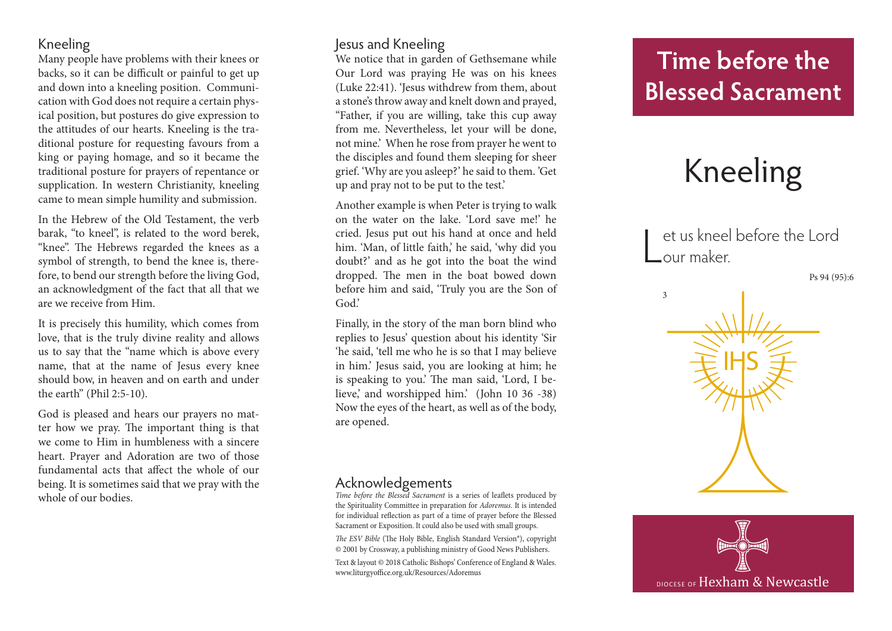### Kneeling

Many people have problems with their knees or backs, so it can be difficult or painful to get up and down into a kneeling position. Communi cation with God does not require a certain phys ical position, but postures do give expression to the attitudes of our hearts. Kneeling is the tra ditional posture for requesting favours from a king or paying homage, and so it became the traditional posture for prayers of repentance or supplication. In western Christianity, kneeling came to mean simple humility and submission.

In the Hebrew of the Old Testament, the verb barak, "to kneel", is related to the word berek, "knee". The Hebrews regarded the knees as a symbol of strength, to bend the knee is, there fore, to bend our strength before the living God, an acknowledgment of the fact that all that we are we receive from Him.

It is precisely this humility, which comes from love, that is the truly divine reality and allows us to say that the "name which is above every name, that at the name of Jesus every knee should bow, in heaven and on earth and under the earth" (Phil 2:5-10).

God is pleased and hears our prayers no mat ter how we pray. The important thing is that we come to Him in humbleness with a sincere heart. Prayer and Adoration are two of those fundamental acts that affect the whole of our being. It is sometimes said that we pray with the whole of our bodies.

### Jesus and Kneeling

We notice that in garden of Gethsemane while Our Lord was praying He was on his knees (Luke 22:41). 'Jesus withdrew from them, about a stone's throw away and knelt down and prayed, "Father, if you are willing, take this cup away from me. Nevertheless, let your will be done, not mine.' When he rose from prayer he went to the disciples and found them sleeping for sheer grief. 'Why are you asleep?' he said to them. 'Get up and pray not to be put to the test.'

Another example is when Peter is trying to walk on the water on the lake. 'Lord save me!' he cried. Jesus put out his hand at once and held him. 'Man, of little faith,' he said, 'why did you doubt?' and as he got into the boat the wind dropped. The men in the boat bowed down before him and said, 'Truly you are the Son of God.'

Finally, in the story of the man born blind who replies to Jesus' question about his identity 'Sir 'he said, 'tell me who he is so that I may believe in him.' Jesus said, you are looking at him; he is speaking to you.' The man said, 'Lord, I be lieve,' and worshipped him.' (John 10 36 -38) Now the eyes of the heart, as well as of the body, are opened.

#### Acknowledgements

*Time before the Blessed Sacrament* is a series of leaflets produced by the Spirituality Committee in preparation for *Adoremus*. It is intended for individual reflection as part of a time of prayer before the Blessed Sacrament or Exposition. It could also be used with small groups.

*The ESV Bible* (The Holy Bible, English Standard Version®), copyright © 2001 by Crossway, a publishing ministry of Good News Publishers.

Text & layout © 2018 Catholic Bishops' Conference of England & Wales. www.liturgyoffice.org.uk/Resources/Adoremus

# **Time before the Blessed Sacrament**

# Kneeling

L et us kneel before the Lord our maker.

Ps 94 (95):6